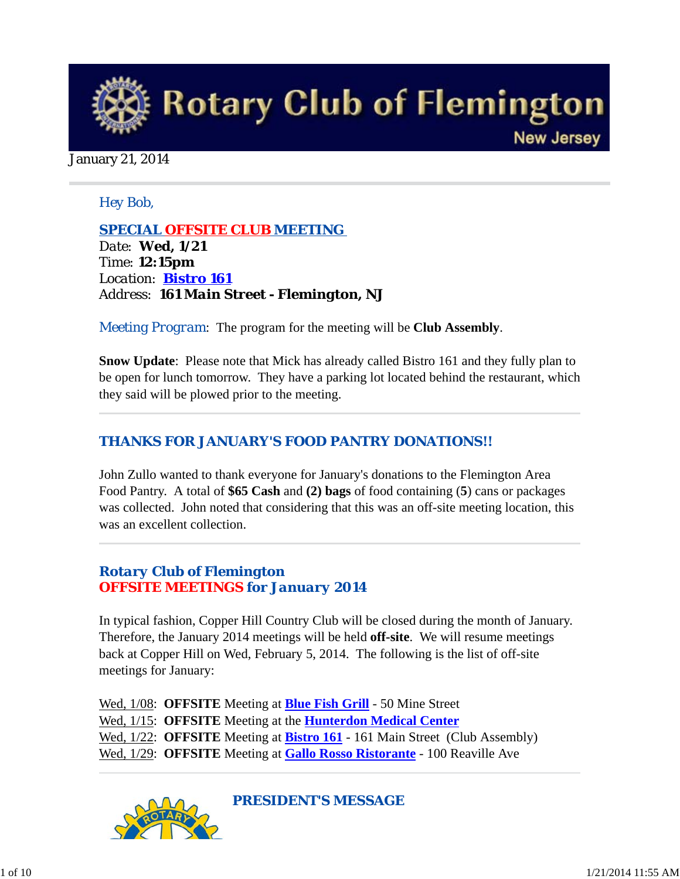

#### January 21, 2014

## *Hey Bob,*

*SPECIAL OFFSITE CLUB MEETING Date: Wed, 1/21 Time: 12:15pm Location: Bistro 161 Address: 161 Main Street - Flemington, NJ*

*Meeting Program*: The program for the meeting will be **Club Assembly**.

**Snow Update**: Please note that Mick has already called Bistro 161 and they fully plan to be open for lunch tomorrow. They have a parking lot located behind the restaurant, which they said will be plowed prior to the meeting.

# *THANKS FOR JANUARY'S FOOD PANTRY DONATIONS!!*

John Zullo wanted to thank everyone for January's donations to the Flemington Area Food Pantry. A total of **\$65 Cash** and **(2) bags** of food containing (**5**) cans or packages was collected. John noted that considering that this was an off-site meeting location, this was an excellent collection.

# *Rotary Club of Flemington OFFSITE MEETINGS for January 2014*

In typical fashion, Copper Hill Country Club will be closed during the month of January. Therefore, the January 2014 meetings will be held **off-site**. We will resume meetings back at Copper Hill on Wed, February 5, 2014. The following is the list of off-site meetings for January:

Wed, 1/08: **OFFSITE** Meeting at **Blue Fish Grill** - 50 Mine Street Wed, 1/15: **OFFSITE** Meeting at the **Hunterdon Medical Center** Wed, 1/22: **OFFSITE** Meeting at **Bistro 161** - 161 Main Street (Club Assembly) Wed, 1/29: **OFFSITE** Meeting at **Gallo Rosso Ristorante** - 100 Reaville Ave



*PRESIDENT'S MESSAGE*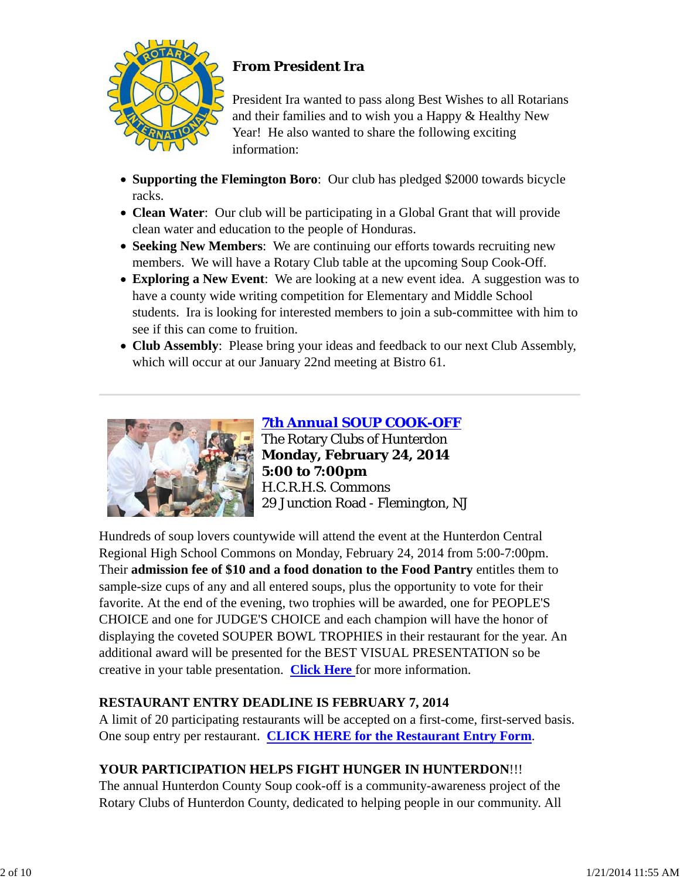

# **From President Ira**

President Ira wanted to pass along Best Wishes to all Rotarians and their families and to wish you a Happy & Healthy New Year! He also wanted to share the following exciting information:

- **Supporting the Flemington Boro**: Our club has pledged \$2000 towards bicycle racks.
- **Clean Water**: Our club will be participating in a Global Grant that will provide clean water and education to the people of Honduras.
- **Seeking New Members**: We are continuing our efforts towards recruiting new members. We will have a Rotary Club table at the upcoming Soup Cook-Off.
- **Exploring a New Event**: We are looking at a new event idea. A suggestion was to have a county wide writing competition for Elementary and Middle School students. Ira is looking for interested members to join a sub-committee with him to see if this can come to fruition.
- **Club Assembly**: Please bring your ideas and feedback to our next Club Assembly, which will occur at our January 22nd meeting at Bistro 61.



*7th Annual SOUP COOK-OFF* The Rotary Clubs of Hunterdon **Monday, February 24, 2014 5:00 to 7:00pm** H.C.R.H.S. Commons 29 Junction Road - Flemington, NJ

Hundreds of soup lovers countywide will attend the event at the Hunterdon Central Regional High School Commons on Monday, February 24, 2014 from 5:00-7:00pm. Their **admission fee of \$10 and a food donation to the Food Pantry** entitles them to sample-size cups of any and all entered soups, plus the opportunity to vote for their favorite. At the end of the evening, two trophies will be awarded, one for PEOPLE'S CHOICE and one for JUDGE'S CHOICE and each champion will have the honor of displaying the coveted SOUPER BOWL TROPHIES in their restaurant for the year. An additional award will be presented for the BEST VISUAL PRESENTATION so be creative in your table presentation. **Click Here** for more information.

# **RESTAURANT ENTRY DEADLINE IS FEBRUARY 7, 2014**

A limit of 20 participating restaurants will be accepted on a first-come, first-served basis. One soup entry per restaurant. **CLICK HERE for the Restaurant Entry Form**.

# **YOUR PARTICIPATION HELPS FIGHT HUNGER IN HUNTERDON**!!!

The annual Hunterdon County Soup cook-off is a community-awareness project of the Rotary Clubs of Hunterdon County, dedicated to helping people in our community. All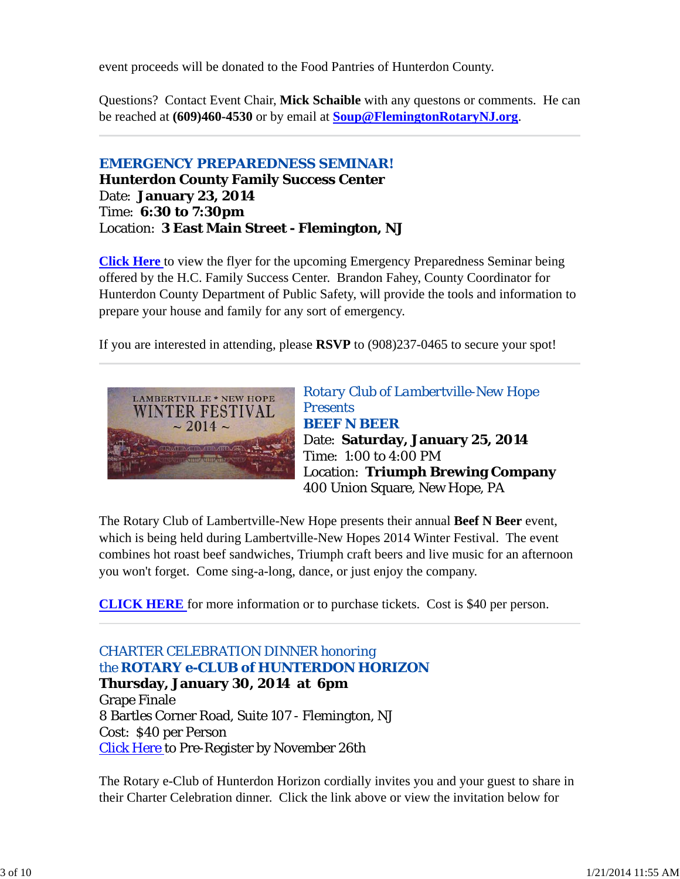event proceeds will be donated to the Food Pantries of Hunterdon County.

Questions? Contact Event Chair, **Mick Schaible** with any questons or comments. He can be reached at **(609)460-4530** or by email at **Soup@FlemingtonRotaryNJ.org**.

## *EMERGENCY PREPAREDNESS SEMINAR!* **Hunterdon County Family Success Center** Date: **January 23, 2014** Time: **6:30 to 7:30pm** Location: **3 East Main Street - Flemington, NJ**

**Click Here** to view the flyer for the upcoming Emergency Preparedness Seminar being offered by the H.C. Family Success Center. Brandon Fahey, County Coordinator for Hunterdon County Department of Public Safety, will provide the tools and information to prepare your house and family for any sort of emergency.

If you are interested in attending, please **RSVP** to (908)237-0465 to secure your spot!



*Rotary Club of Lambertville-New Hope Presents BEEF N BEER* Date: **Saturday, January 25, 2014** Time: 1:00 to 4:00 PM Location: **Triumph Brewing Company** 400 Union Square, New Hope, PA

The Rotary Club of Lambertville-New Hope presents their annual **Beef N Beer** event, which is being held during Lambertville-New Hopes 2014 Winter Festival. The event combines hot roast beef sandwiches, Triumph craft beers and live music for an afternoon you won't forget. Come sing-a-long, dance, or just enjoy the company.

**CLICK HERE** for more information or to purchase tickets. Cost is \$40 per person.

*CHARTER CELEBRATION DINNER honoring the ROTARY e-CLUB of HUNTERDON HORIZON* **Thursday, January 30, 2014 at 6pm** Grape Finale 8 Bartles Corner Road, Suite 107 - Flemington, NJ Cost: \$40 per Person Click Here to Pre-Register by November 26th

The Rotary e-Club of Hunterdon Horizon cordially invites you and your guest to share in their Charter Celebration dinner. Click the link above or view the invitation below for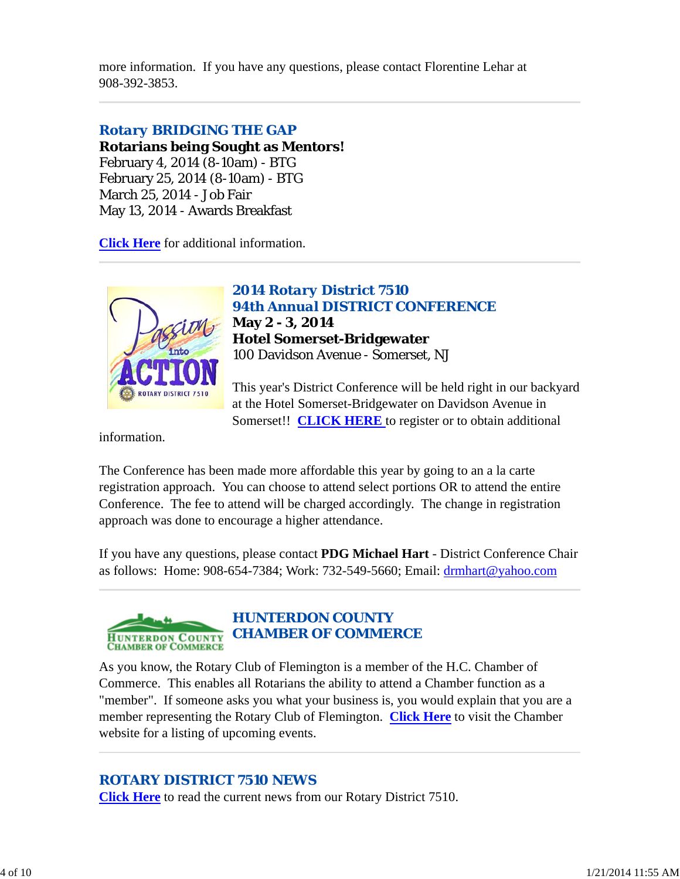more information. If you have any questions, please contact Florentine Lehar at 908-392-3853.

# *Rotary BRIDGING THE GAP*

**Rotarians being Sought as Mentors!** February 4, 2014 (8-10am) - BTG February 25, 2014 (8-10am) - BTG March 25, 2014 - Job Fair May 13, 2014 - Awards Breakfast

**Click Here** for additional information.



*2014 Rotary District 7510 94th Annual DISTRICT CONFERENCE* **May 2 - 3, 2014 Hotel Somerset-Bridgewater** 100 Davidson Avenue - Somerset, NJ

This year's District Conference will be held right in our backyard at the Hotel Somerset-Bridgewater on Davidson Avenue in Somerset!! **CLICK HERE** to register or to obtain additional

information.

The Conference has been made more affordable this year by going to an a la carte registration approach. You can choose to attend select portions OR to attend the entire Conference. The fee to attend will be charged accordingly. The change in registration approach was done to encourage a higher attendance.

If you have any questions, please contact **PDG Michael Hart** - District Conference Chair as follows: Home: 908-654-7384; Work: 732-549-5660; Email: drmhart@yahoo.com



As you know, the Rotary Club of Flemington is a member of the H.C. Chamber of Commerce. This enables all Rotarians the ability to attend a Chamber function as a "member". If someone asks you what your business is, you would explain that you are a member representing the Rotary Club of Flemington. **Click Here** to visit the Chamber website for a listing of upcoming events.

# *ROTARY DISTRICT 7510 NEWS*

**Click Here** to read the current news from our Rotary District 7510.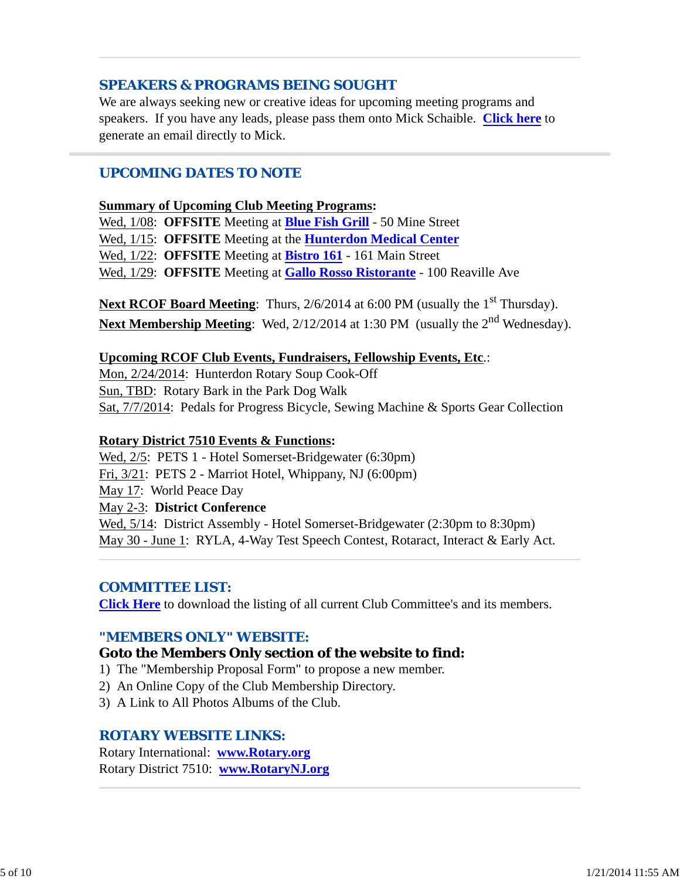# *SPEAKERS & PROGRAMS BEING SOUGHT*

We are always seeking new or creative ideas for upcoming meeting programs and speakers. If you have any leads, please pass them onto Mick Schaible. **Click here** to generate an email directly to Mick.

### *UPCOMING DATES TO NOTE*

#### **Summary of Upcoming Club Meeting Programs:**

Wed, 1/08: **OFFSITE** Meeting at **Blue Fish Grill** - 50 Mine Street Wed, 1/15: **OFFSITE** Meeting at the **Hunterdon Medical Center** Wed, 1/22: **OFFSITE** Meeting at **Bistro 161** - 161 Main Street Wed, 1/29: **OFFSITE** Meeting at **Gallo Rosso Ristorante** - 100 Reaville Ave

**Next RCOF Board Meeting**: Thurs, 2/6/2014 at 6:00 PM (usually the 1<sup>st</sup> Thursday). Next Membership Meeting: Wed, 2/12/2014 at 1:30 PM (usually the 2<sup>nd</sup> Wednesday).

#### **Upcoming RCOF Club Events, Fundraisers, Fellowship Events, Etc**.:

Mon, 2/24/2014: Hunterdon Rotary Soup Cook-Off Sun, TBD: Rotary Bark in the Park Dog Walk Sat, 7/7/2014: Pedals for Progress Bicycle, Sewing Machine & Sports Gear Collection

#### **Rotary District 7510 Events & Functions:**

Wed, 2/5: PETS 1 - Hotel Somerset-Bridgewater (6:30pm) Fri, 3/21: PETS 2 - Marriot Hotel, Whippany, NJ (6:00pm) May 17: World Peace Day May 2-3: **District Conference** Wed,  $5/14$ : District Assembly - Hotel Somerset-Bridgewater (2:30pm to 8:30pm) May 30 - June 1: RYLA, 4-Way Test Speech Contest, Rotaract, Interact & Early Act.

#### *COMMITTEE LIST:*

**Click Here** to download the listing of all current Club Committee's and its members.

#### *"MEMBERS ONLY" WEBSITE:*

#### **Goto the Members Only section of the website to find:**

- 1) The "Membership Proposal Form" to propose a new member.
- 2) An Online Copy of the Club Membership Directory.
- 3) A Link to All Photos Albums of the Club.

#### *ROTARY WEBSITE LINKS:*

Rotary International: **www.Rotary.org** Rotary District 7510: **www.RotaryNJ.org**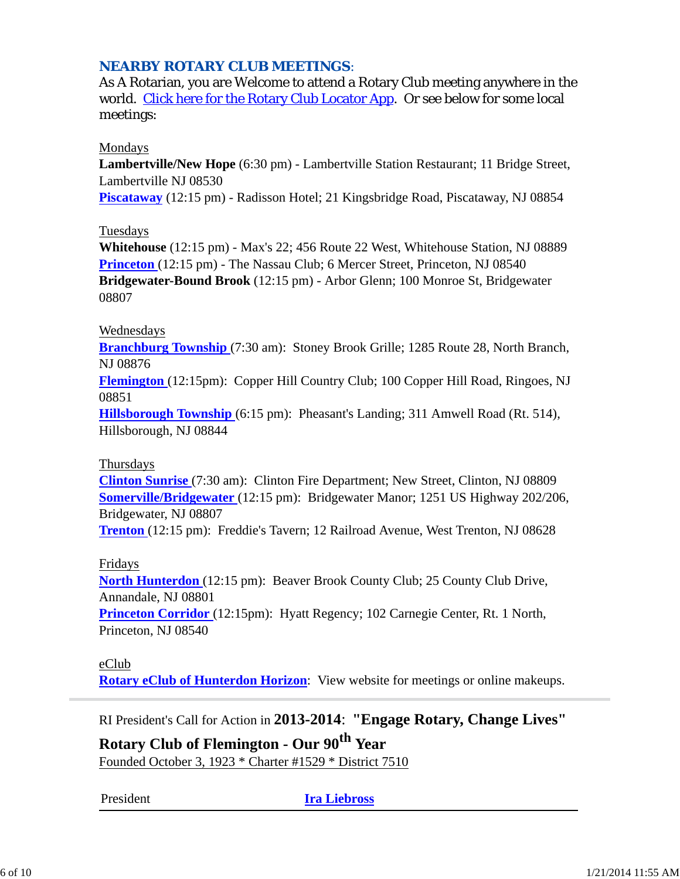# *NEARBY ROTARY CLUB MEETINGS:*

As A Rotarian, you are Welcome to attend a Rotary Club meeting anywhere in the world. Click here for the Rotary Club Locator App. Or see below for some local meetings:

#### Mondays

**Lambertville/New Hope** (6:30 pm) - Lambertville Station Restaurant; 11 Bridge Street, Lambertville NJ 08530

**Piscataway** (12:15 pm) - Radisson Hotel; 21 Kingsbridge Road, Piscataway, NJ 08854

#### **Tuesdays**

**Whitehouse** (12:15 pm) - Max's 22; 456 Route 22 West, Whitehouse Station, NJ 08889 **Princeton** (12:15 pm) - The Nassau Club; 6 Mercer Street, Princeton, NJ 08540 **Bridgewater-Bound Brook** (12:15 pm) - Arbor Glenn; 100 Monroe St, Bridgewater 08807

### Wednesdays

**Branchburg Township** (7:30 am): Stoney Brook Grille; 1285 Route 28, North Branch, NJ 08876

**Flemington** (12:15pm): Copper Hill Country Club; 100 Copper Hill Road, Ringoes, NJ 08851

**Hillsborough Township** (6:15 pm): Pheasant's Landing; 311 Amwell Road (Rt. 514), Hillsborough, NJ 08844

#### Thursdays

**Clinton Sunrise** (7:30 am): Clinton Fire Department; New Street, Clinton, NJ 08809 **Somerville/Bridgewater** (12:15 pm): Bridgewater Manor; 1251 US Highway 202/206, Bridgewater, NJ 08807

**Trenton** (12:15 pm): Freddie's Tavern; 12 Railroad Avenue, West Trenton, NJ 08628

## Fridays

**North Hunterdon** (12:15 pm): Beaver Brook County Club; 25 County Club Drive, Annandale, NJ 08801

**Princeton Corridor** (12:15pm): Hyatt Regency; 102 Carnegie Center, Rt. 1 North, Princeton, NJ 08540

# eClub

**Rotary eClub of Hunterdon Horizon**: View website for meetings or online makeups.

RI President's Call for Action in **2013-2014**: **"Engage Rotary, Change Lives"**

**Rotary Club of Flemington - Our 90th Year** Founded October 3, 1923 \* Charter #1529 \* District 7510

#### President **Ira Liebross**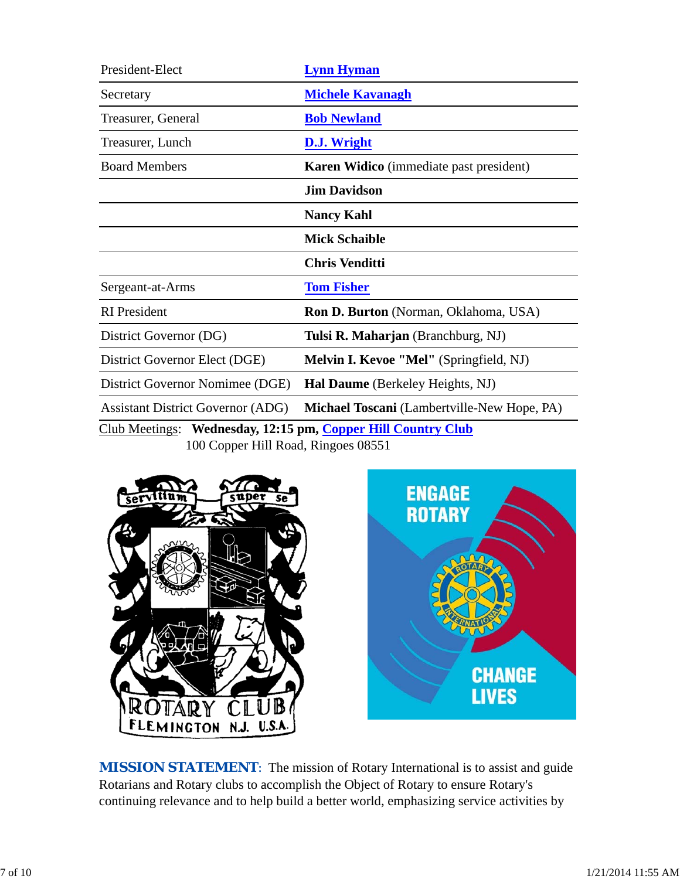| President-Elect                                                                                     | <b>Lynn Hyman</b>                              |  |
|-----------------------------------------------------------------------------------------------------|------------------------------------------------|--|
| Secretary                                                                                           | <b>Michele Kavanagh</b>                        |  |
| Treasurer, General                                                                                  | <b>Bob Newland</b>                             |  |
| Treasurer, Lunch                                                                                    | D.J. Wright                                    |  |
| <b>Board Members</b>                                                                                | <b>Karen Widico</b> (immediate past president) |  |
|                                                                                                     | <b>Jim Davidson</b>                            |  |
|                                                                                                     | <b>Nancy Kahl</b>                              |  |
|                                                                                                     | <b>Mick Schaible</b>                           |  |
|                                                                                                     | <b>Chris Venditti</b>                          |  |
| Sergeant-at-Arms                                                                                    | <b>Tom Fisher</b>                              |  |
| <b>RI</b> President                                                                                 | <b>Ron D. Burton</b> (Norman, Oklahoma, USA)   |  |
| District Governor (DG)                                                                              | Tulsi R. Maharjan (Branchburg, NJ)             |  |
| District Governor Elect (DGE)                                                                       | <b>Melvin I. Kevoe "Mel"</b> (Springfield, NJ) |  |
| District Governor Nomimee (DGE)                                                                     | Hal Daume (Berkeley Heights, NJ)               |  |
| <b>Assistant District Governor (ADG)</b>                                                            | Michael Toscani (Lambertville-New Hope, PA)    |  |
| Club Meetings: Wednesday, 12:15 pm, Copper Hill Country Club<br>100 Conner Hill Road, Ringoes 08551 |                                                |  |

11 Nuau, Ring





**MISSION STATEMENT:** The mission of Rotary International is to assist and guide Rotarians and Rotary clubs to accomplish the Object of Rotary to ensure Rotary's continuing relevance and to help build a better world, emphasizing service activities by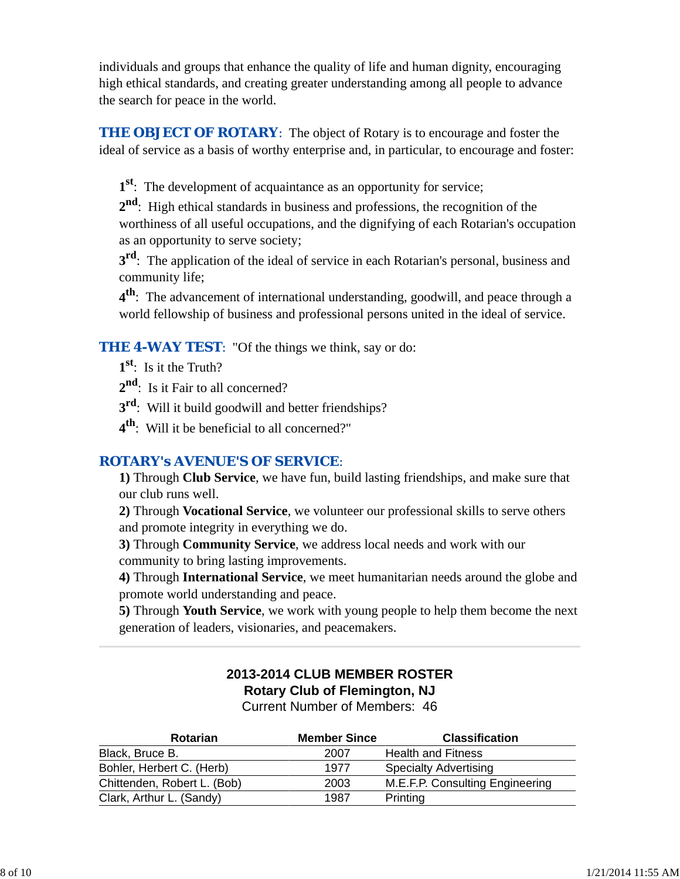individuals and groups that enhance the quality of life and human dignity, encouraging high ethical standards, and creating greater understanding among all people to advance the search for peace in the world.

**THE OBJECT OF ROTARY:** The object of Rotary is to encourage and foster the ideal of service as a basis of worthy enterprise and, in particular, to encourage and foster:

**1st**: The development of acquaintance as an opportunity for service;

**2nd**: High ethical standards in business and professions, the recognition of the worthiness of all useful occupations, and the dignifying of each Rotarian's occupation as an opportunity to serve society;

**3rd**: The application of the ideal of service in each Rotarian's personal, business and community life;

**4th**: The advancement of international understanding, goodwill, and peace through a world fellowship of business and professional persons united in the ideal of service.

**THE 4-WAY TEST:** "Of the things we think, say or do:

**1st**: Is it the Truth?

2<sup>nd</sup>: Is it Fair to all concerned?

**3rd**: Will it build goodwill and better friendships?

**4th**: Will it be beneficial to all concerned?"

## *ROTARY's AVENUE'S OF SERVICE*:

**1)** Through **Club Service**, we have fun, build lasting friendships, and make sure that our club runs well.

**2)** Through **Vocational Service**, we volunteer our professional skills to serve others and promote integrity in everything we do.

**3)** Through **Community Service**, we address local needs and work with our community to bring lasting improvements.

**4)** Through **International Service**, we meet humanitarian needs around the globe and promote world understanding and peace.

**5)** Through **Youth Service**, we work with young people to help them become the next generation of leaders, visionaries, and peacemakers.

# **2013-2014 CLUB MEMBER ROSTER Rotary Club of Flemington, NJ**

Current Number of Members: 46

| <b>Rotarian</b>             | <b>Member Since</b> | <b>Classification</b>           |
|-----------------------------|---------------------|---------------------------------|
| Black, Bruce B.             | 2007                | <b>Health and Fitness</b>       |
| Bohler, Herbert C. (Herb)   | 1977                | <b>Specialty Advertising</b>    |
| Chittenden, Robert L. (Bob) | 2003                | M.E.F.P. Consulting Engineering |
| Clark, Arthur L. (Sandy)    | 1987                | Printing                        |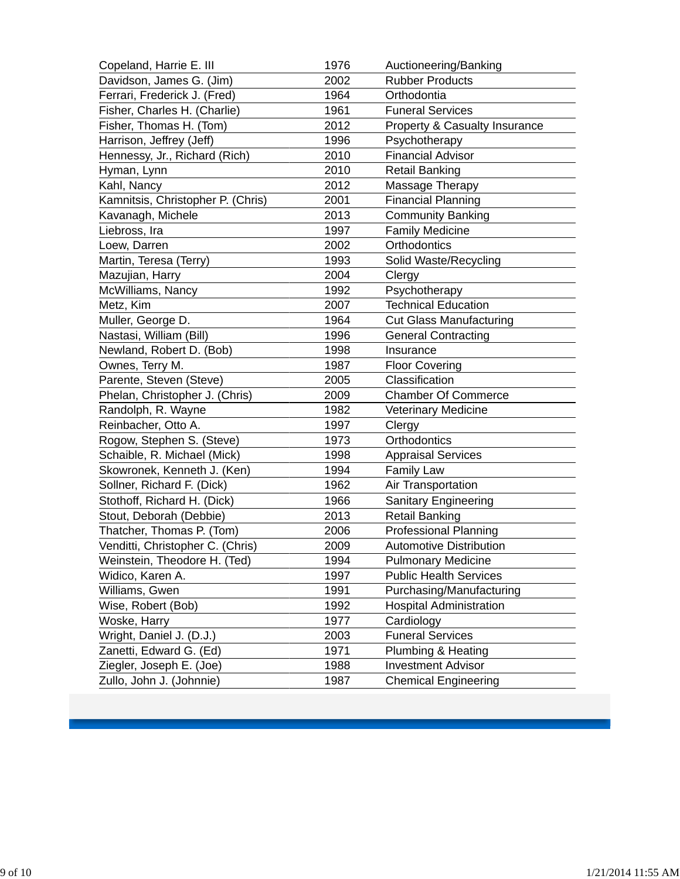| Copeland, Harrie E. III           | 1976 | Auctioneering/Banking          |
|-----------------------------------|------|--------------------------------|
| Davidson, James G. (Jim)          | 2002 | <b>Rubber Products</b>         |
| Ferrari, Frederick J. (Fred)      | 1964 | Orthodontia                    |
| Fisher, Charles H. (Charlie)      | 1961 | <b>Funeral Services</b>        |
| Fisher, Thomas H. (Tom)           | 2012 | Property & Casualty Insurance  |
| Harrison, Jeffrey (Jeff)          | 1996 | Psychotherapy                  |
| Hennessy, Jr., Richard (Rich)     | 2010 | <b>Financial Advisor</b>       |
| Hyman, Lynn                       | 2010 | <b>Retail Banking</b>          |
| Kahl, Nancy                       | 2012 | Massage Therapy                |
| Kamnitsis, Christopher P. (Chris) | 2001 | <b>Financial Planning</b>      |
| Kavanagh, Michele                 | 2013 | <b>Community Banking</b>       |
| Liebross, Ira                     | 1997 | <b>Family Medicine</b>         |
| Loew, Darren                      | 2002 | Orthodontics                   |
| Martin, Teresa (Terry)            | 1993 | Solid Waste/Recycling          |
| Mazujian, Harry                   | 2004 | Clergy                         |
| McWilliams, Nancy                 | 1992 | Psychotherapy                  |
| Metz, Kim                         | 2007 | <b>Technical Education</b>     |
| Muller, George D.                 | 1964 | <b>Cut Glass Manufacturing</b> |
| Nastasi, William (Bill)           | 1996 | <b>General Contracting</b>     |
| Newland, Robert D. (Bob)          | 1998 | Insurance                      |
| Ownes, Terry M.                   | 1987 | <b>Floor Covering</b>          |
| Parente, Steven (Steve)           | 2005 | Classification                 |
| Phelan, Christopher J. (Chris)    | 2009 | <b>Chamber Of Commerce</b>     |
| Randolph, R. Wayne                | 1982 | <b>Veterinary Medicine</b>     |
| Reinbacher, Otto A.               | 1997 | Clergy                         |
| Rogow, Stephen S. (Steve)         | 1973 | Orthodontics                   |
| Schaible, R. Michael (Mick)       | 1998 | <b>Appraisal Services</b>      |
| Skowronek, Kenneth J. (Ken)       | 1994 | <b>Family Law</b>              |
| Sollner, Richard F. (Dick)        | 1962 | Air Transportation             |
| Stothoff, Richard H. (Dick)       | 1966 | <b>Sanitary Engineering</b>    |
| Stout, Deborah (Debbie)           | 2013 | <b>Retail Banking</b>          |
| Thatcher, Thomas P. (Tom)         | 2006 | <b>Professional Planning</b>   |
| Venditti, Christopher C. (Chris)  | 2009 | <b>Automotive Distribution</b> |
| Weinstein, Theodore H. (Ted)      | 1994 | <b>Pulmonary Medicine</b>      |
| Widico, Karen A.                  | 1997 | <b>Public Health Services</b>  |
| Williams, Gwen                    | 1991 | Purchasing/Manufacturing       |
| Wise, Robert (Bob)                | 1992 | <b>Hospital Administration</b> |
| Woske, Harry                      | 1977 | Cardiology                     |
| Wright, Daniel J. (D.J.)          | 2003 | <b>Funeral Services</b>        |
| Zanetti, Edward G. (Ed)           | 1971 | Plumbing & Heating             |
| Ziegler, Joseph E. (Joe)          | 1988 | <b>Investment Advisor</b>      |
| Zullo, John J. (Johnnie)          | 1987 | <b>Chemical Engineering</b>    |